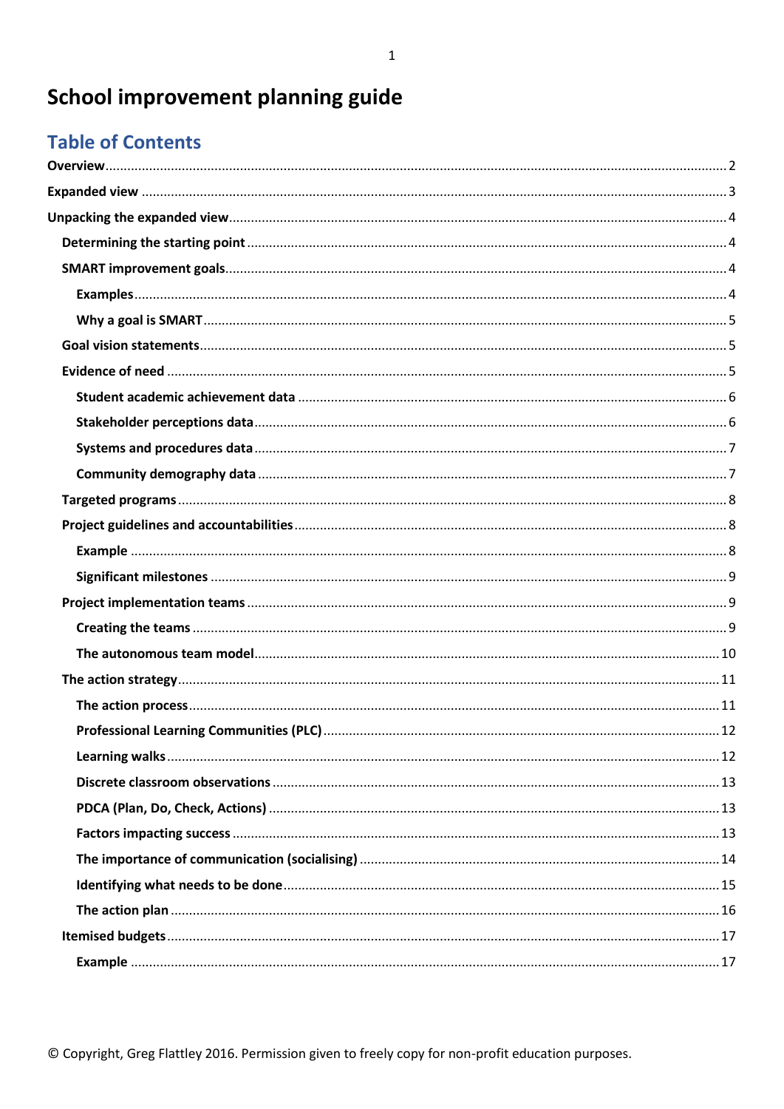# School improvement planning guide

# **Table of Contents**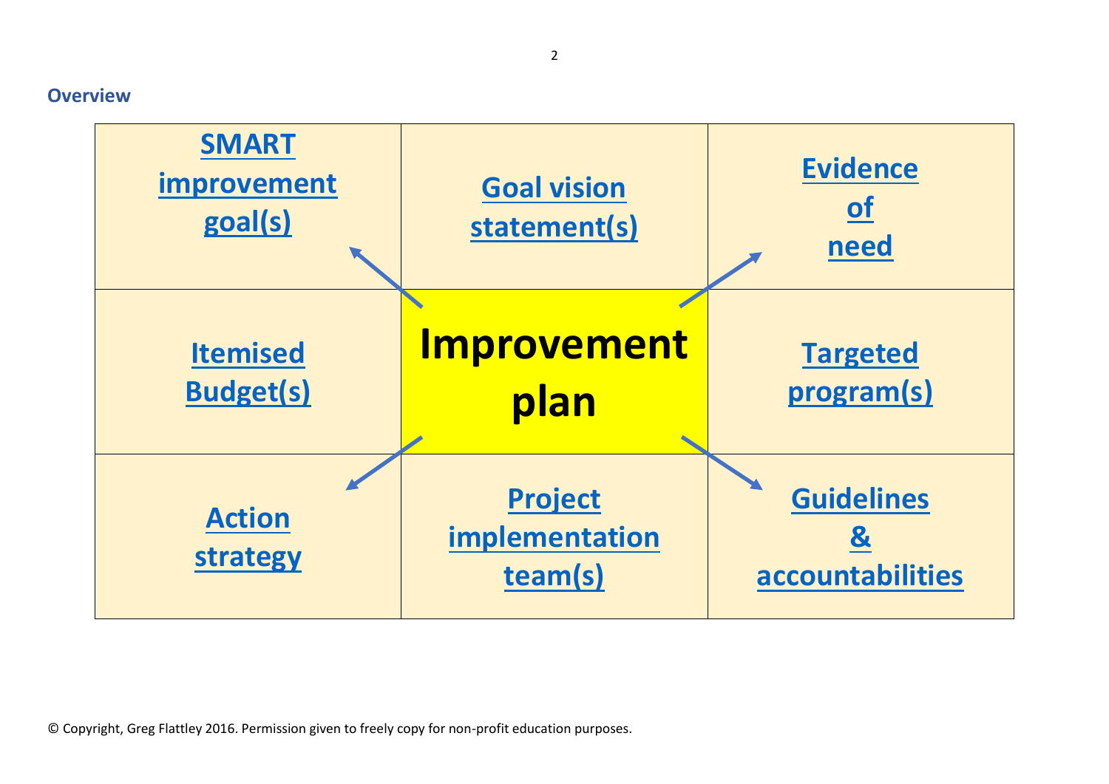**Overview**

<span id="page-1-0"></span>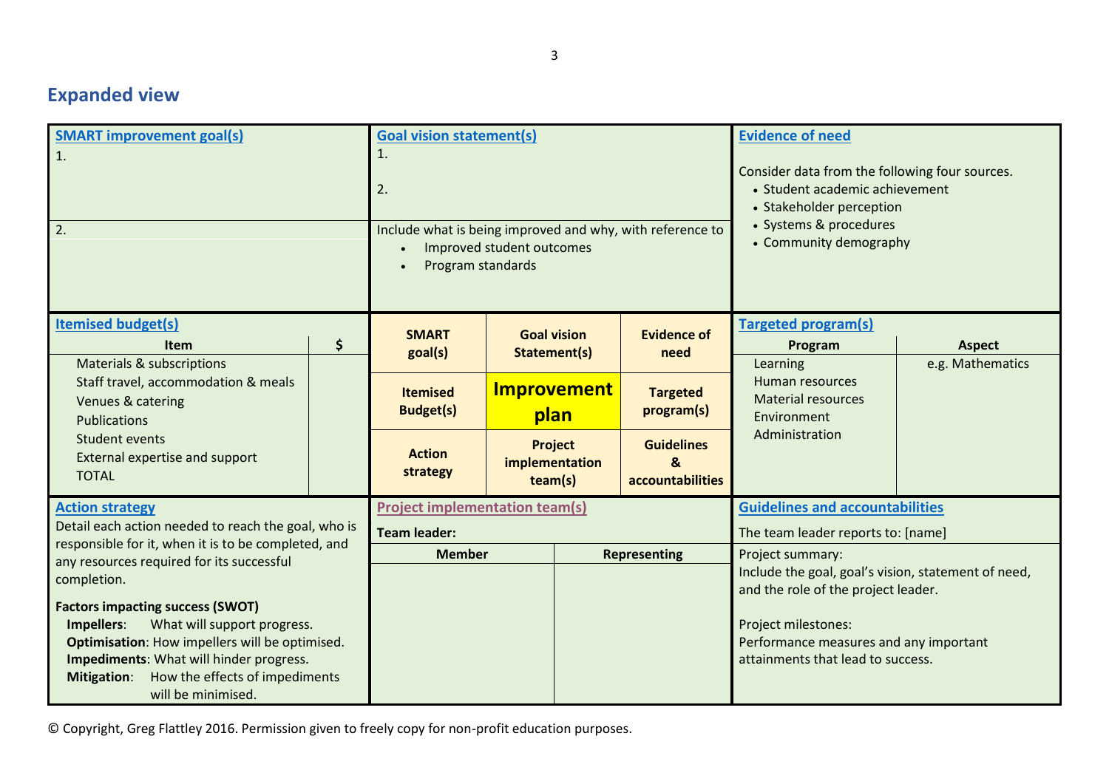# **Expanded view**

<span id="page-2-0"></span>

| <b>SMART improvement goal(s)</b><br>1.<br>$\vert$ 2.                                                                                                                                                       | <b>Goal vision statement(s)</b><br>1.<br>2.<br>Include what is being improved and why, with reference to<br>Improved student outcomes<br>Program standards |  |                                             |                                                   | <b>Evidence of need</b><br>Consider data from the following four sources.<br>• Student academic achievement<br>• Stakeholder perception<br>· Systems & procedures<br>• Community demography |                                   |
|------------------------------------------------------------------------------------------------------------------------------------------------------------------------------------------------------------|------------------------------------------------------------------------------------------------------------------------------------------------------------|--|---------------------------------------------|---------------------------------------------------|---------------------------------------------------------------------------------------------------------------------------------------------------------------------------------------------|-----------------------------------|
| <b>Itemised budget(s)</b><br><b>Item</b><br><b>Materials &amp; subscriptions</b>                                                                                                                           | \$<br><b>SMART</b><br>goal(s)                                                                                                                              |  | <b>Goal vision</b><br>Statement(s)          | <b>Evidence of</b><br>need                        | <b>Targeted program(s)</b><br>Program<br>Learning                                                                                                                                           | <b>Aspect</b><br>e.g. Mathematics |
| Staff travel, accommodation & meals<br>Venues & catering<br><b>Publications</b>                                                                                                                            | <b>Itemised</b><br><b>Budget(s)</b>                                                                                                                        |  | <b>Improvement</b><br>plan                  | <b>Targeted</b><br>program(s)                     | Human resources<br><b>Material resources</b><br>Environment                                                                                                                                 |                                   |
| <b>Student events</b><br>External expertise and support<br><b>TOTAL</b>                                                                                                                                    | <b>Action</b><br>strategy                                                                                                                                  |  | <b>Project</b><br>implementation<br>team(s) | <b>Guidelines</b><br>&<br><b>accountabilities</b> | Administration                                                                                                                                                                              |                                   |
| <b>Action strategy</b>                                                                                                                                                                                     | <b>Project implementation team(s)</b>                                                                                                                      |  |                                             |                                                   | <b>Guidelines and accountabilities</b>                                                                                                                                                      |                                   |
| Detail each action needed to reach the goal, who is<br>responsible for it, when it is to be completed, and                                                                                                 | <b>Team leader:</b>                                                                                                                                        |  |                                             |                                                   | The team leader reports to: [name]                                                                                                                                                          |                                   |
| any resources required for its successful                                                                                                                                                                  | <b>Member</b>                                                                                                                                              |  |                                             | <b>Representing</b>                               | Project summary:                                                                                                                                                                            |                                   |
| completion.<br><b>Factors impacting success (SWOT)</b>                                                                                                                                                     |                                                                                                                                                            |  |                                             |                                                   | Include the goal, goal's vision, statement of need,<br>and the role of the project leader.                                                                                                  |                                   |
| Impellers:<br>What will support progress.<br>Optimisation: How impellers will be optimised.<br>Impediments: What will hinder progress.<br>Mitigation: How the effects of impediments<br>will be minimised. |                                                                                                                                                            |  |                                             |                                                   | Project milestones:<br>Performance measures and any important<br>attainments that lead to success.                                                                                          |                                   |

© Copyright, Greg Flattley 2016. Permission given to freely copy for non-profit education purposes.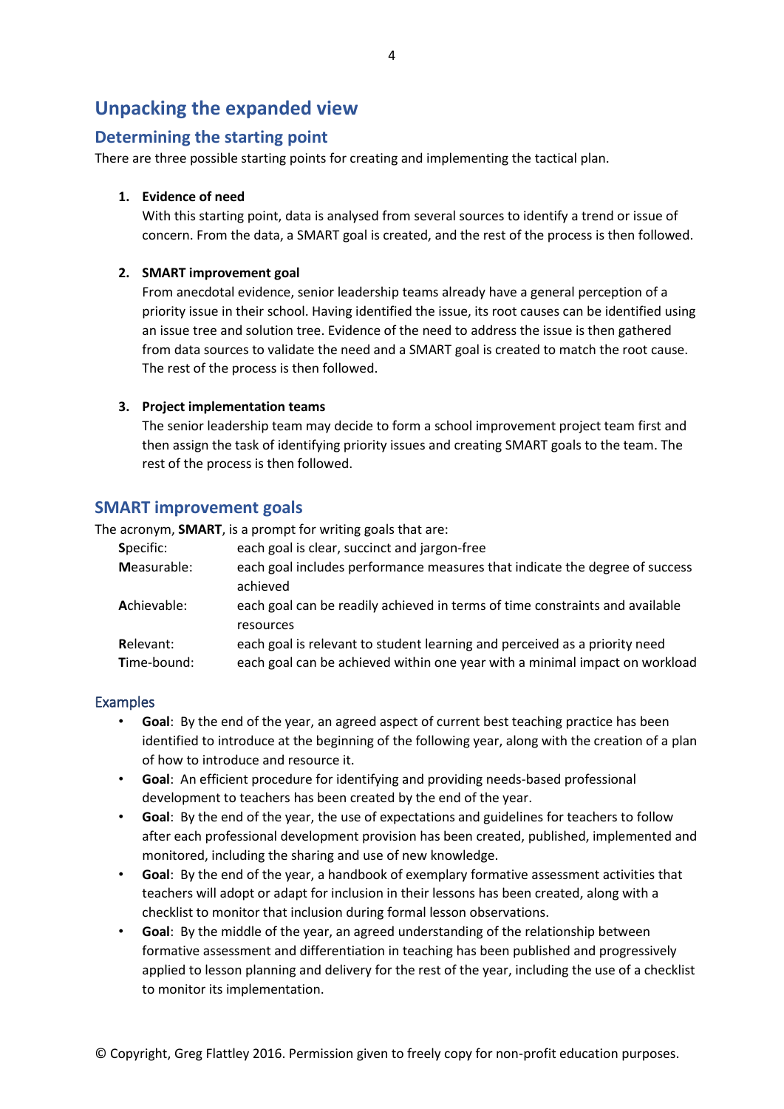# <span id="page-3-0"></span>**Unpacking the expanded view**

# <span id="page-3-1"></span>**Determining the starting point**

<span id="page-3-4"></span>There are three possible starting points for creating and implementing the tactical plan.

#### **1. Evidence of need**

With this starting point, data is analysed from several sources to identify a trend or issue of concern. From the data, a SMART goal is created, and the rest of the process is then followed.

#### **2. SMART improvement goal**

From anecdotal evidence, senior leadership teams already have a general perception of a priority issue in their school. Having identified the issue, its root causes can be identified using an issue tree and solution tree. Evidence of the need to address the issue is then gathered from data sources to validate the need and a SMART goal is created to match the root cause. The rest of the process is then followed.

#### **3. Project implementation teams**

The senior leadership team may decide to form a school improvement project team first and then assign the task of identifying priority issues and creating SMART goals to the team. The rest of the process is then followed.

#### <span id="page-3-2"></span>**SMART improvement goals**

The acronym, **SMART**, is a prompt for writing goals that are:

| Specific:   | each goal is clear, succinct and jargon-free                                 |
|-------------|------------------------------------------------------------------------------|
| Measurable: | each goal includes performance measures that indicate the degree of success  |
|             | achieved                                                                     |
| Achievable: | each goal can be readily achieved in terms of time constraints and available |
|             | resources                                                                    |
| Relevant:   | each goal is relevant to student learning and perceived as a priority need   |
| Time-bound: | each goal can be achieved within one year with a minimal impact on workload  |

#### <span id="page-3-3"></span>Examples

- **Goal**: By the end of the year, an agreed aspect of current best teaching practice has been identified to introduce at the beginning of the following year, along with the creation of a plan of how to introduce and resource it.
- **Goal**: An efficient procedure for identifying and providing needs-based professional development to teachers has been created by the end of the year.
- **Goal**: By the end of the year, the use of expectations and guidelines for teachers to follow after each professional development provision has been created, published, implemented and monitored, including the sharing and use of new knowledge.
- **Goal**: By the end of the year, a handbook of exemplary formative assessment activities that teachers will adopt or adapt for inclusion in their lessons has been created, along with a checklist to monitor that inclusion during formal lesson observations.
- **Goal**: By the middle of the year, an agreed understanding of the relationship between formative assessment and differentiation in teaching has been published and progressively applied to lesson planning and delivery for the rest of the year, including the use of a checklist to monitor its implementation.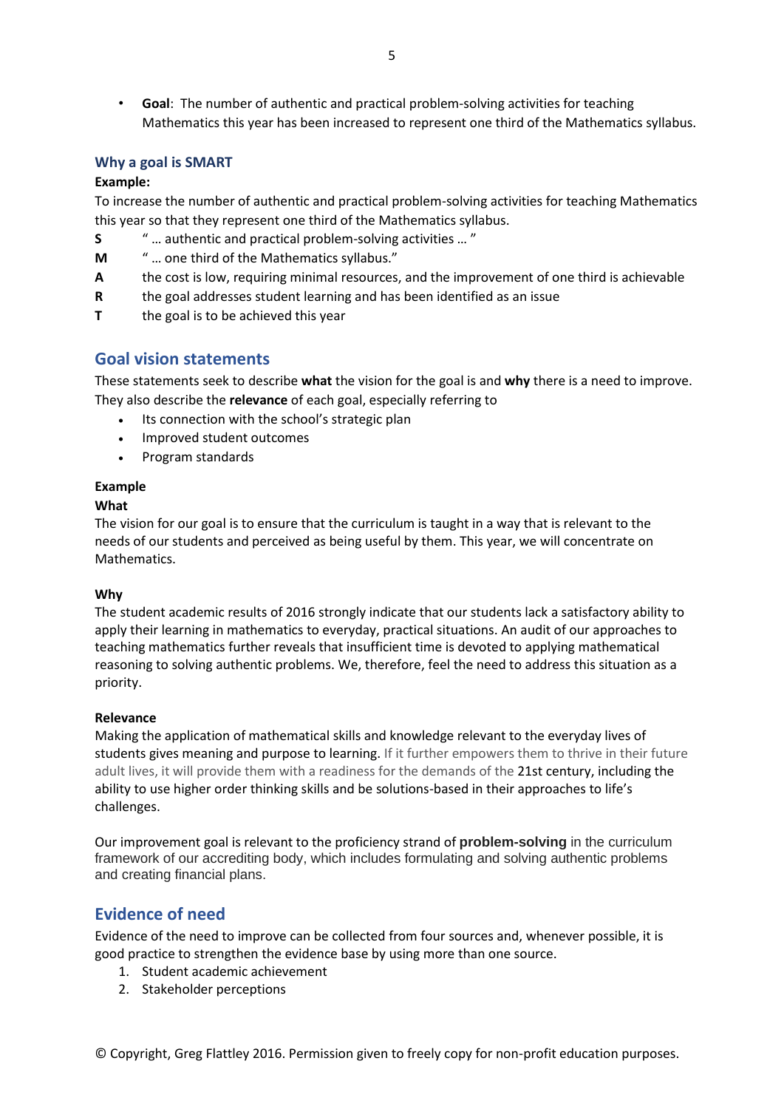<span id="page-4-3"></span>• **Goal**: The number of authentic and practical problem-solving activities for teaching Mathematics this year has been increased to represent one third of the Mathematics syllabus.

#### <span id="page-4-0"></span>**Why a goal is SMART**

#### **Example:**

To increase the number of authentic and practical problem-solving activities for teaching Mathematics this year so that they represent one third of the Mathematics syllabus.

- **S** " … authentic and practical problem-solving activities … "
- **M** " … one third of the Mathematics syllabus."
- **A** the cost is low, requiring minimal resources, and the improvement of one third is achievable
- **R** the goal addresses student learning and has been identified as an issue
- **T** the goal is to be achieved this year

# <span id="page-4-1"></span>**Goal vision statements**

These statements seek to describe **what** the vision for the goal is and **why** there is a need to improve. They also describe the **relevance** of each goal, especially referring to

- Its connection with the school's strategic plan
- Improved student outcomes
- Program standards

#### **Example**

#### **What**

The vision for our goal is to ensure that the curriculum is taught in a way that is relevant to the needs of our students and perceived as being useful by them. This year, we will concentrate on Mathematics.

#### <span id="page-4-4"></span>**Why**

The student academic results of 2016 strongly indicate that our students lack a satisfactory ability to apply their learning in mathematics to everyday, practical situations. An audit of our approaches to teaching mathematics further reveals that insufficient time is devoted to applying mathematical reasoning to solving authentic problems. We, therefore, feel the need to address this situation as a priority.

#### **Relevance**

Making the application of mathematical skills and knowledge relevant to the everyday lives of students gives meaning and purpose to learning. If it further empowers them to thrive in their future adult lives, it will provide them with a readiness for the demands of the 21st century, including the ability to use higher order thinking skills and be solutions-based in their approaches to life's challenges.

Our improvement goal is relevant to the proficiency strand of **problem-solving** in the curriculum framework of our accrediting body, which includes formulating and solving authentic problems and creating financial plans.

# <span id="page-4-2"></span>**Evidence of need**

Evidence of the need to improve can be collected from four sources and, whenever possible, it is good practice to strengthen the evidence base by using more than one source.

- 1. Student academic achievement
- 2. Stakeholder perceptions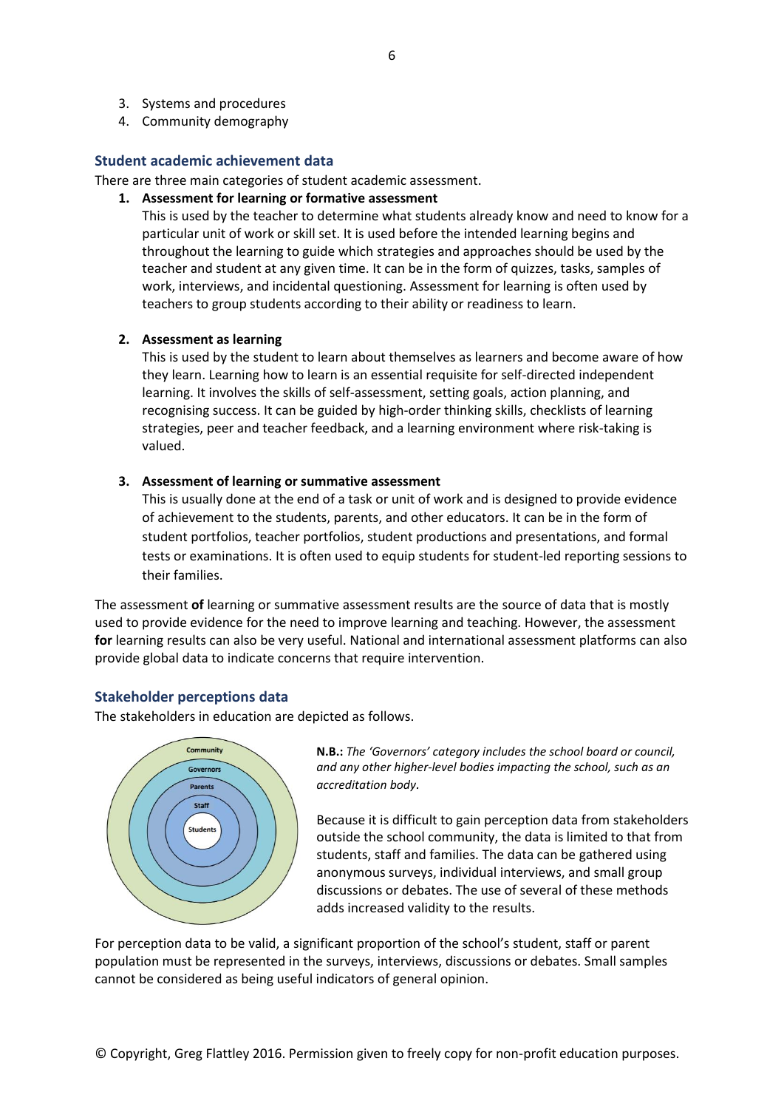- 3. Systems and procedures
- 4. Community demography

#### <span id="page-5-0"></span>**Student academic achievement data**

There are three main categories of student academic assessment.

#### **1. Assessment for learning or formative assessment**

This is used by the teacher to determine what students already know and need to know for a particular unit of work or skill set. It is used before the intended learning begins and throughout the learning to guide which strategies and approaches should be used by the teacher and student at any given time. It can be in the form of quizzes, tasks, samples of work, interviews, and incidental questioning. Assessment for learning is often used by teachers to group students according to their ability or readiness to learn.

#### **2. Assessment as learning**

This is used by the student to learn about themselves as learners and become aware of how they learn. Learning how to learn is an essential requisite for self-directed independent learning. It involves the skills of self-assessment, setting goals, action planning, and recognising success. It can be guided by high-order thinking skills, checklists of learning strategies, peer and teacher feedback, and a learning environment where risk-taking is valued.

#### **3. Assessment of learning or summative assessment**

This is usually done at the end of a task or unit of work and is designed to provide evidence of achievement to the students, parents, and other educators. It can be in the form of student portfolios, teacher portfolios, student productions and presentations, and formal tests or examinations. It is often used to equip students for student-led reporting sessions to their families.

The assessment **of** learning or summative assessment results are the source of data that is mostly used to provide evidence for the need to improve learning and teaching. However, the assessment **for** learning results can also be very useful. National and international assessment platforms can also provide global data to indicate concerns that require intervention.

#### <span id="page-5-1"></span>**Stakeholder perceptions data**

The stakeholders in education are depicted as follows.



**N.B.:** *The 'Governors' category includes the school board or council, and any other higher-level bodies impacting the school, such as an accreditation body.*

Because it is difficult to gain perception data from stakeholders outside the school community, the data is limited to that from students, staff and families. The data can be gathered using anonymous surveys, individual interviews, and small group discussions or debates. The use of several of these methods adds increased validity to the results.

For perception data to be valid, a significant proportion of the school's student, staff or parent population must be represented in the surveys, interviews, discussions or debates. Small samples cannot be considered as being useful indicators of general opinion.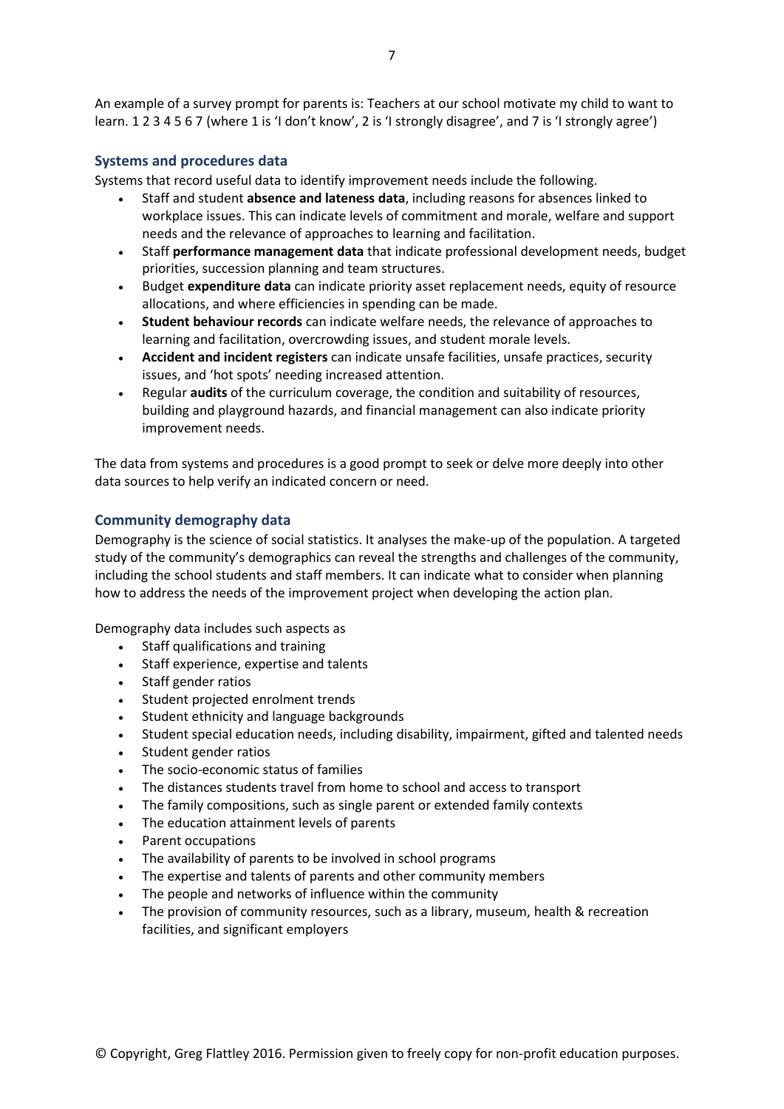An example of a survey prompt for parents is: Teachers at our school motivate my child to want to learn. 1 2 3 4 5 6 7 (where 1 is 'I don't know', 2 is 'I strongly disagree', and 7 is 'I strongly agree')

#### <span id="page-6-0"></span>**Systems and procedures data**

Systems that record useful data to identify improvement needs include the following.

- Staff and student **absence and lateness data**, including reasons for absences linked to workplace issues. This can indicate levels of commitment and morale, welfare and support needs and the relevance of approaches to learning and facilitation.
- Staff **performance management data** that indicate professional development needs, budget priorities, succession planning and team structures.
- Budget **expenditure data** can indicate priority asset replacement needs, equity of resource allocations, and where efficiencies in spending can be made.
- **Student behaviour records** can indicate welfare needs, the relevance of approaches to learning and facilitation, overcrowding issues, and student morale levels.
- **Accident and incident registers** can indicate unsafe facilities, unsafe practices, security issues, and 'hot spots' needing increased attention.
- Regular **audits** of the curriculum coverage, the condition and suitability of resources, building and playground hazards, and financial management can also indicate priority improvement needs.

The data from systems and procedures is a good prompt to seek or delve more deeply into other data sources to help verify an indicated concern or need.

#### <span id="page-6-1"></span>**Community demography data**

Demography is the science of social statistics. It analyses the make-up of the population. A targeted study of the community's demographics can reveal the strengths and challenges of the community, including the school students and staff members. It can indicate what to consider when planning how to address the needs of the improvement project when developing the action plan.

Demography data includes such aspects as

- Staff qualifications and training
- Staff experience, expertise and talents
- Staff gender ratios
- Student projected enrolment trends
- Student ethnicity and language backgrounds
- Student special education needs, including disability, impairment, gifted and talented needs
- Student gender ratios
- The socio-economic status of families
- The distances students travel from home to school and access to transport
- The family compositions, such as single parent or extended family contexts
- The education attainment levels of parents
- Parent occupations
- The availability of parents to be involved in school programs
- The expertise and talents of parents and other community members
- The people and networks of influence within the community
- The provision of community resources, such as a library, museum, health & recreation facilities, and significant employers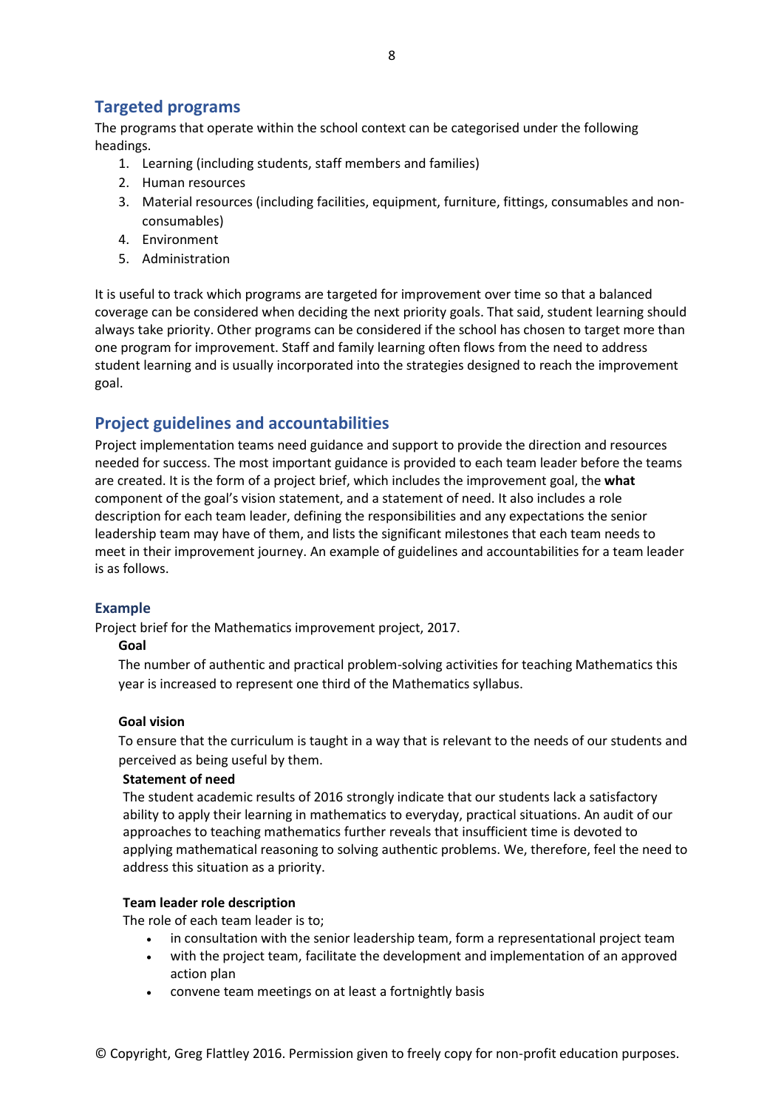# <span id="page-7-4"></span><span id="page-7-3"></span><span id="page-7-0"></span>**Targeted programs**

The programs that operate within the school context can be categorised under the following headings.

- 1. Learning (including students, staff members and families)
- 2. Human resources
- 3. Material resources (including facilities, equipment, furniture, fittings, consumables and nonconsumables)
- 4. Environment
- 5. Administration

It is useful to track which programs are targeted for improvement over time so that a balanced coverage can be considered when deciding the next priority goals. That said, student learning should always take priority. Other programs can be considered if the school has chosen to target more than one program for improvement. Staff and family learning often flows from the need to address student learning and is usually incorporated into the strategies designed to reach the improvement goal.

# <span id="page-7-1"></span>**Project guidelines and accountabilities**

Project implementation teams need guidance and support to provide the direction and resources needed for success. The most important guidance is provided to each team leader before the teams are created. It is the form of a project brief, which includes the improvement goal, the **what** component of the goal's vision statement, and a statement of need. It also includes a role description for each team leader, defining the responsibilities and any expectations the senior leadership team may have of them, and lists the significant milestones that each team needs to meet in their improvement journey. An example of guidelines and accountabilities for a team leader is as follows.

#### <span id="page-7-2"></span>**Example**

Project brief for the Mathematics improvement project, 2017.

#### **Goal**

The number of authentic and practical problem-solving activities for teaching Mathematics this year is increased to represent one third of the Mathematics syllabus.

#### **Goal vision**

To ensure that the curriculum is taught in a way that is relevant to the needs of our students and perceived as being useful by them.

#### **Statement of need**

The student academic results of 2016 strongly indicate that our students lack a satisfactory ability to apply their learning in mathematics to everyday, practical situations. An audit of our approaches to teaching mathematics further reveals that insufficient time is devoted to applying mathematical reasoning to solving authentic problems. We, therefore, feel the need to address this situation as a priority.

#### **Team leader role description**

The role of each team leader is to;

- in consultation with the senior leadership team, form a representational project team
- with the project team, facilitate the development and implementation of an approved action plan
- convene team meetings on at least a fortnightly basis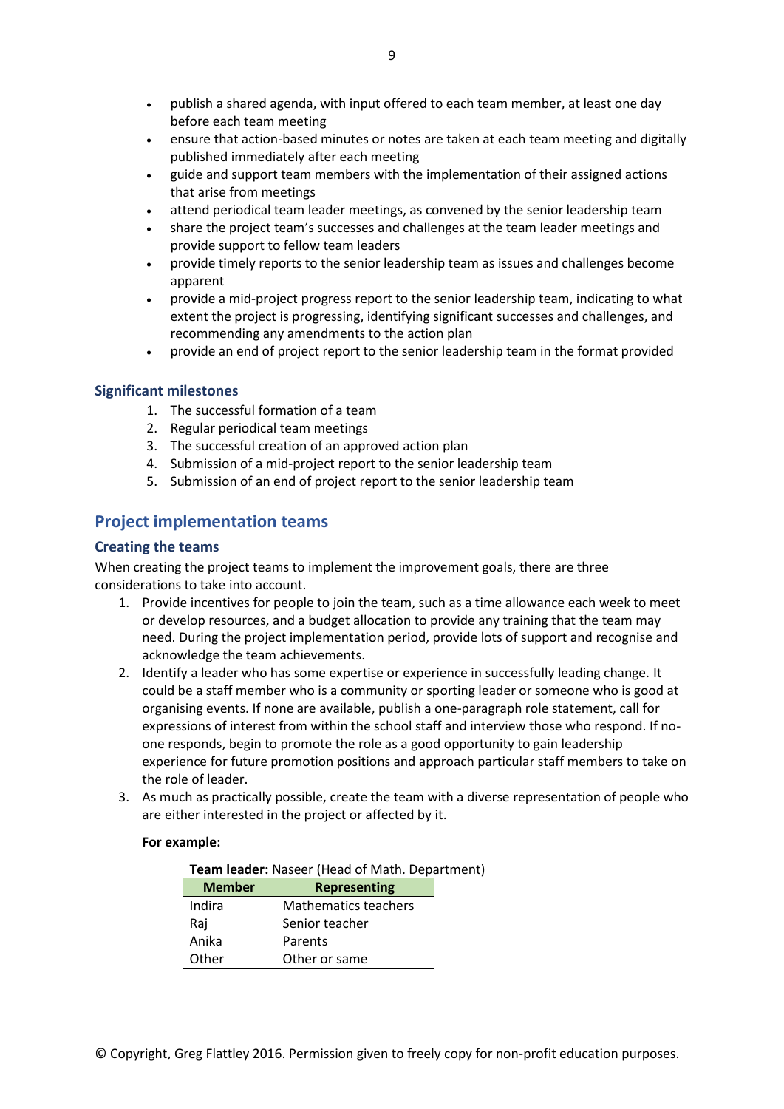- ensure that action-based minutes or notes are taken at each team meeting and digitally published immediately after each meeting
- <span id="page-8-3"></span>• guide and support team members with the implementation of their assigned actions that arise from meetings
- attend periodical team leader meetings, as convened by the senior leadership team
- share the project team's successes and challenges at the team leader meetings and provide support to fellow team leaders
- provide timely reports to the senior leadership team as issues and challenges become apparent
- provide a mid-project progress report to the senior leadership team, indicating to what extent the project is progressing, identifying significant successes and challenges, and recommending any amendments to the action plan
- provide an end of project report to the senior leadership team in the format provided

### <span id="page-8-0"></span>**Significant milestones**

- 1. The successful formation of a team
- 2. Regular periodical team meetings
- 3. The successful creation of an approved action plan
- 4. Submission of a mid-project report to the senior leadership team
- 5. Submission of an end of project report to the senior leadership team

# <span id="page-8-1"></span>**Project implementation teams**

#### <span id="page-8-2"></span>**Creating the teams**

When creating the project teams to implement the improvement goals, there are three considerations to take into account.

- 1. Provide incentives for people to join the team, such as a time allowance each week to meet or develop resources, and a budget allocation to provide any training that the team may need. During the project implementation period, provide lots of support and recognise and acknowledge the team achievements.
- 2. Identify a leader who has some expertise or experience in successfully leading change. It could be a staff member who is a community or sporting leader or someone who is good at organising events. If none are available, publish a one-paragraph role statement, call for expressions of interest from within the school staff and interview those who respond. If noone responds, begin to promote the role as a good opportunity to gain leadership experience for future promotion positions and approach particular staff members to take on the role of leader.
- 3. As much as practically possible, create the team with a diverse representation of people who are either interested in the project or affected by it.

#### **For example:**

| Team leader: Naseer (Head of Math. Department) |  |  |
|------------------------------------------------|--|--|
|------------------------------------------------|--|--|

| <b>Member</b> | <b>Representing</b>  |
|---------------|----------------------|
| Indira        | Mathematics teachers |
| Raj           | Senior teacher       |
| Anika         | Parents              |
| Other         | Other or same        |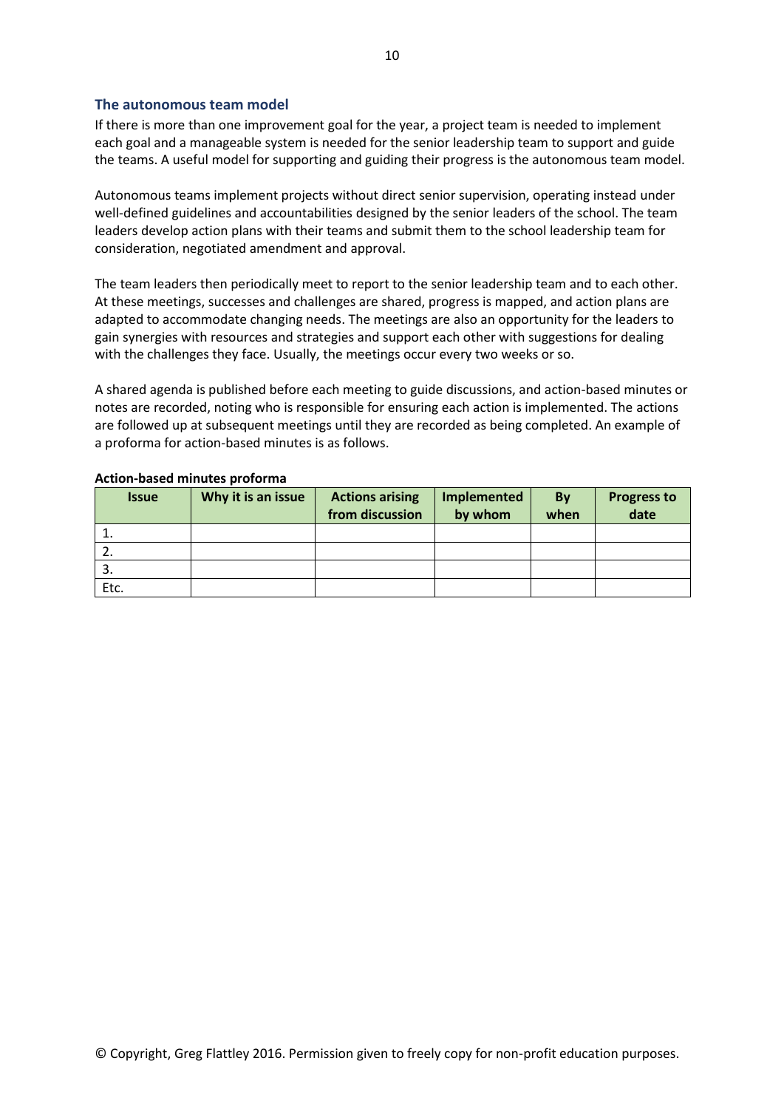#### <span id="page-9-0"></span>**The autonomous team model**

If there is more than one improvement goal for the year, a project team is needed to implement each goal and a manageable system is needed for the senior leadership team to support and guide the teams. A useful model for supporting and guiding their progress is the autonomous team model.

Autonomous teams implement projects without direct senior supervision, operating instead under well-defined guidelines and accountabilities designed by the senior leaders of the school. The team leaders develop action plans with their teams and submit them to the school leadership team for consideration, negotiated amendment and approval.

The team leaders then periodically meet to report to the senior leadership team and to each other. At these meetings, successes and challenges are shared, progress is mapped, and action plans are adapted to accommodate changing needs. The meetings are also an opportunity for the leaders to gain synergies with resources and strategies and support each other with suggestions for dealing with the challenges they face. Usually, the meetings occur every two weeks or so.

A shared agenda is published before each meeting to guide discussions, and action-based minutes or notes are recorded, noting who is responsible for ensuring each action is implemented. The actions are followed up at subsequent meetings until they are recorded as being completed. An example of a proforma for action-based minutes is as follows.

| <b>Issue</b> | Why it is an issue | <b>Actions arising</b><br>from discussion | Implemented<br>by whom | By<br>when | <b>Progress to</b><br>date |
|--------------|--------------------|-------------------------------------------|------------------------|------------|----------------------------|
|              |                    |                                           |                        |            |                            |
|              |                    |                                           |                        |            |                            |
|              |                    |                                           |                        |            |                            |
| Etc.         |                    |                                           |                        |            |                            |

#### **Action-based minutes proforma**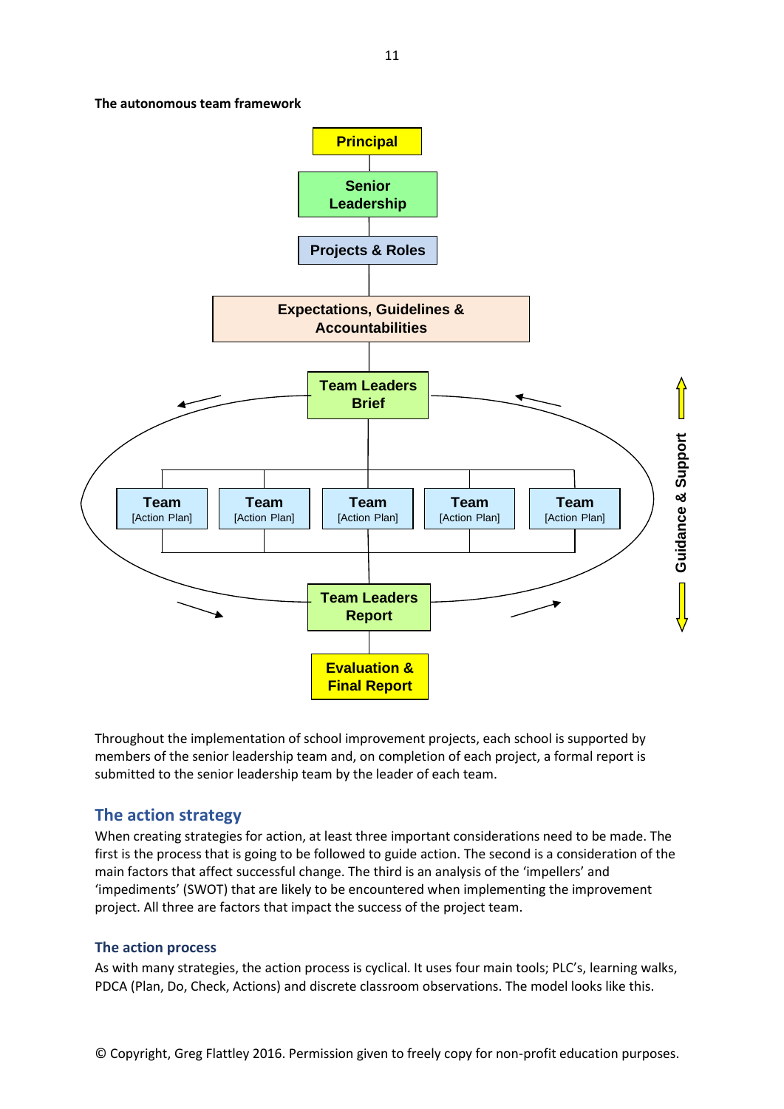

<span id="page-10-2"></span>Throughout the implementation of school improvement projects, each school is supported by members of the senior leadership team and, on completion of each project, a formal report is submitted to the senior leadership team by the leader of each team.

#### <span id="page-10-0"></span>**The action strategy**

**The autonomous team framework**

When creating strategies for action, at least three important considerations need to be made. The first is the process that is going to be followed to guide action. The second is a consideration of the main factors that affect successful change. The third is an analysis of the 'impellers' and 'impediments' (SWOT) that are likely to be encountered when implementing the improvement project. All three are factors that impact the success of the project team.

#### <span id="page-10-1"></span>**The action process**

As with many strategies, the action process is cyclical. It uses four main tools; PLC's, learning walks, PDCA (Plan, Do, Check, Actions) and discrete classroom observations. The model looks like this.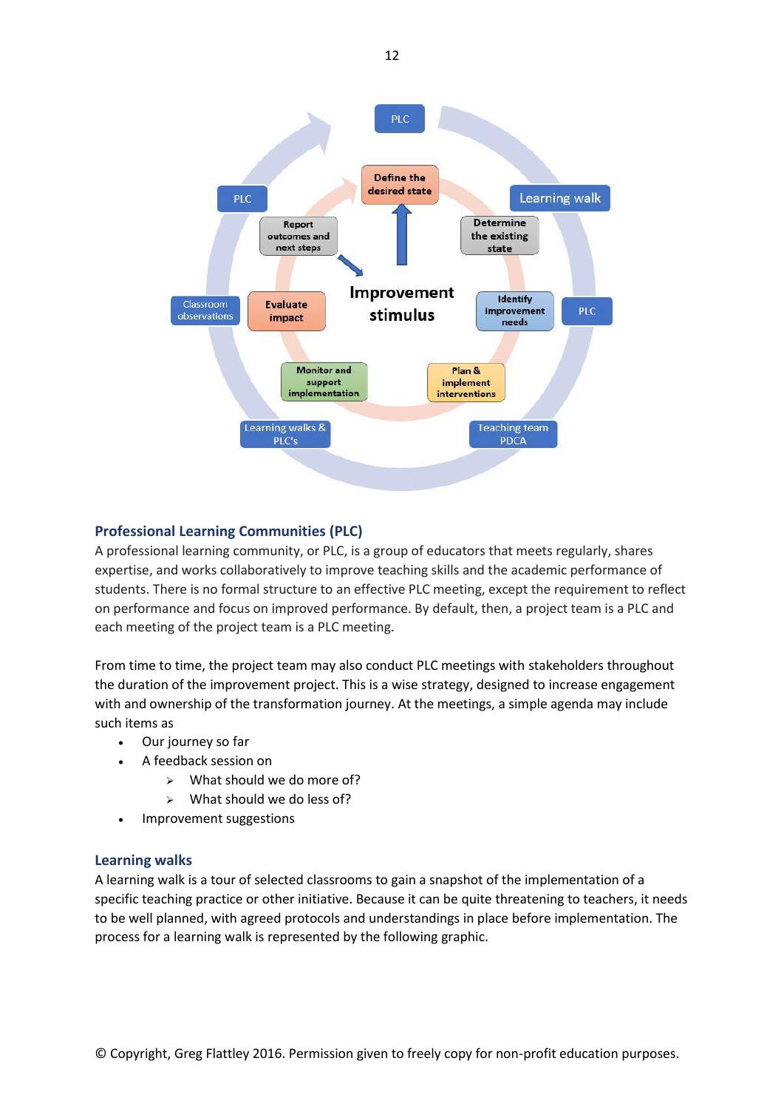

#### <span id="page-11-0"></span>**Professional Learning Communities (PLC)**

A professional learning community, or PLC, is a group of educators that meets regularly, shares expertise, and works collaboratively to improve teaching skills and the academic performance of students. There is no formal structure to an effective PLC meeting, except the requirement to reflect on performance and focus on improved performance. By default, then, a project team is a PLC and each meeting of the project team is a PLC meeting.

From time to time, the project team may also conduct PLC meetings with stakeholders throughout the duration of the improvement project. This is a wise strategy, designed to increase engagement with and ownership of the transformation journey. At the meetings, a simple agenda may include such items as

- Our journey so far
- A feedback session on
	- $\triangleright$  What should we do more of?
	- $\triangleright$  What should we do less of?
- Improvement suggestions

#### <span id="page-11-1"></span>**Learning walks**

A learning walk is a tour of selected classrooms to gain a snapshot of the implementation of a specific teaching practice or other initiative. Because it can be quite threatening to teachers, it needs to be well planned, with agreed protocols and understandings in place before implementation. The process for a learning walk is represented by the following graphic.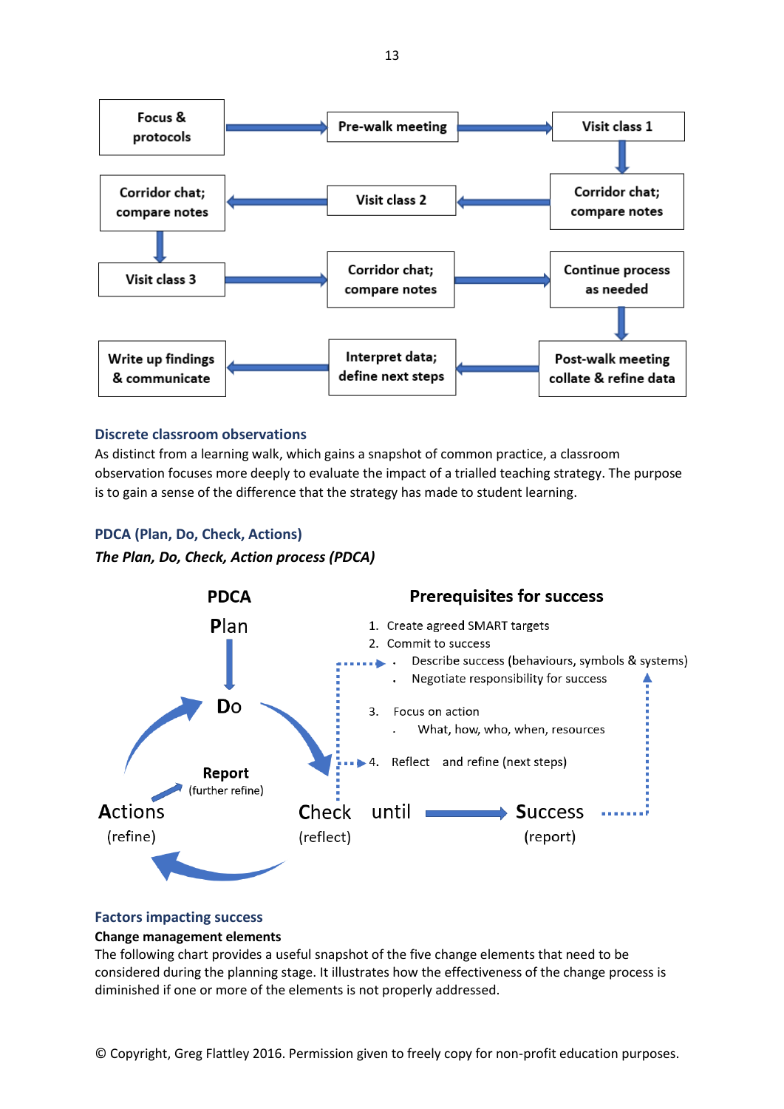

#### <span id="page-12-0"></span>**Discrete classroom observations**

As distinct from a learning walk, which gains a snapshot of common practice, a classroom observation focuses more deeply to evaluate the impact of a trialled teaching strategy. The purpose is to gain a sense of the difference that the strategy has made to student learning.

# <span id="page-12-1"></span>**PDCA (Plan, Do, Check, Actions)**

*The Plan, Do, Check, Action process (PDCA)*



# <span id="page-12-2"></span>**Factors impacting success**

#### **Change management elements**

The following chart provides a useful snapshot of the five change elements that need to be considered during the planning stage. It illustrates how the effectiveness of the change process is diminished if one or more of the elements is not properly addressed.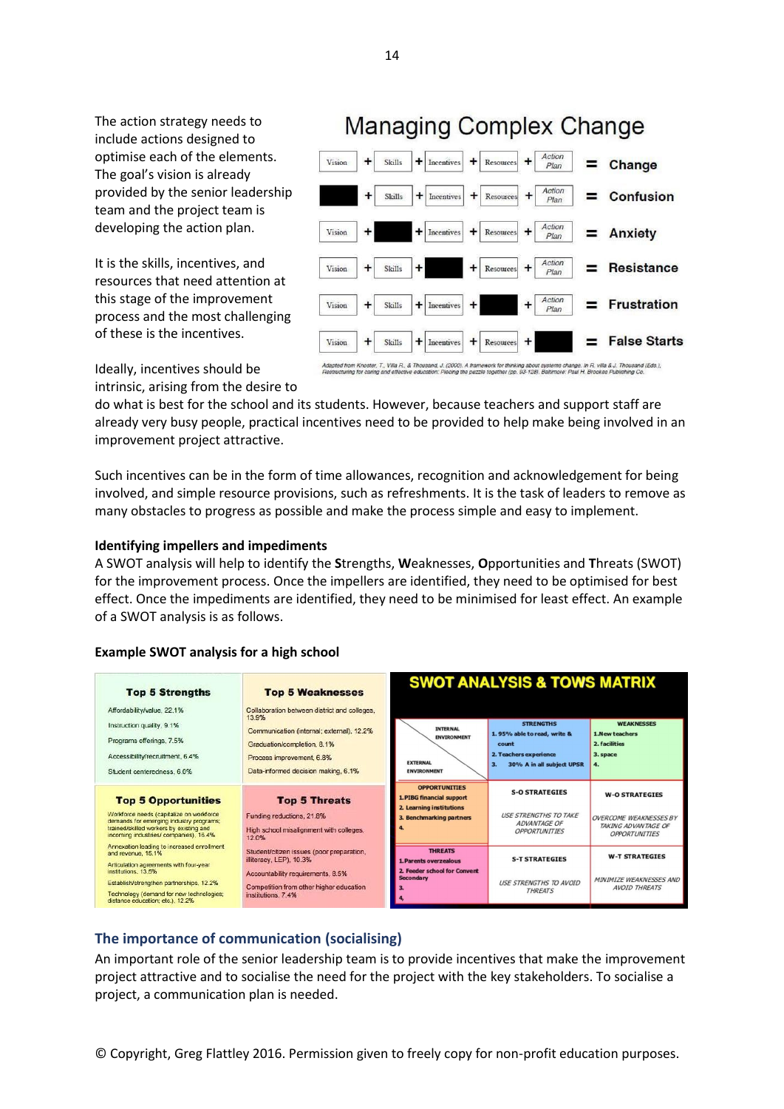The action strategy needs to include actions designed to optimise each of the elements. The goal's vision is already provided by the senior leadership team and the project team is developing the action plan.

It is the skills, incentives, and resources that need attention at this stage of the improvement process and the most challenging of these is the incentives.

**Managing Complex Change** 



Ideally, incentives should be intrinsic, arising from the desire to

do what is best for the school and its students. However, because teachers and support staff are already very busy people, practical incentives need to be provided to help make being involved in an improvement project attractive.

Such incentives can be in the form of time allowances, recognition and acknowledgement for being involved, and simple resource provisions, such as refreshments. It is the task of leaders to remove as many obstacles to progress as possible and make the process simple and easy to implement.

#### **Identifying impellers and impediments**

A SWOT analysis will help to identify the **S**trengths, **W**eaknesses, **O**pportunities and **T**hreats (SWOT) for the improvement process. Once the impellers are identified, they need to be optimised for best effect. Once the impediments are identified, they need to be minimised for least effect. An example of a SWOT analysis is as follows.

#### **Example SWOT analysis for a high school**

| <b>Top 5 Strengths</b>                                                                                                                                                    | <b>Top 5 Weaknesses</b>                                                                                                                                                                               |                                                                                | <b>SWOT ANALYSIS &amp; TOWS MATRIX</b>                                                                                |                                                                              |
|---------------------------------------------------------------------------------------------------------------------------------------------------------------------------|-------------------------------------------------------------------------------------------------------------------------------------------------------------------------------------------------------|--------------------------------------------------------------------------------|-----------------------------------------------------------------------------------------------------------------------|------------------------------------------------------------------------------|
| Affordability/value, 22.1%<br>Instruction quality, 9.1%<br>Programs offerings, 7.5%<br>Accessibility/recruitment, 6.4%<br>Student centeredness, 6.0%                      | Collaboration between district and colleges,<br>13.9%<br>Communication (internal; external), 12.2%<br>Graduation/completion, 8.1%<br>Process improvement, 6.8%<br>Data-informed decision making, 6.1% | <b>INTERNAL</b><br><b>ENVIRONMENT</b><br><b>EXTERNAL</b><br><b>ENVIRONMENT</b> | <b>STRENGTHS</b><br>1.95% able to read, write &<br>count<br>2. Teachers experience<br>3.<br>30% A in all subject UPSR | <b>WEAKNESSES</b><br>1.New teachers<br>2. facilities<br>3. space<br>4.       |
| <b>Top 5 Opportunities</b>                                                                                                                                                | <b>Top 5 Threats</b>                                                                                                                                                                                  | <b>OPPORTUNITIES</b><br><b>1.PIBG financial support</b>                        | <b>S-O STRATEGIES</b>                                                                                                 | <b>W-O STRATEGIES</b>                                                        |
| Workforce needs (capitalize on workforce)<br>demands for emerging industry programs;<br>trained/skilled workers by existing and<br>incoming industries/ companies), 16.4% | Funding reductions, 21,8%<br>High school misalignment with colleges.<br>12.0%                                                                                                                         | 2. Learning institutions<br>3. Benchmarking partners                           | <b>USE STRENGTHS TO TAKE</b><br><b>ADVANTAGE OF</b><br><b>OPPORTUNITIES</b>                                           | <b>OVERCOME WEAKNESSES BY</b><br>TAKING ADVANTAGE OF<br><b>OPPORTUNITIES</b> |
| Annexation leading to increased enrollment<br>and revenue, 15.1%<br>Articulation agreements with four-year                                                                | Student/citizen issues (poor preparation,<br>illiteracy, LEP), 10.3%                                                                                                                                  | <b>THREATS</b><br>1. Parents overzealous                                       | <b>S-T STRATEGIES</b>                                                                                                 | <b>W-T STRATEGIES</b>                                                        |
| institutions, 13.5%<br>Establish/strengthen partnerships, 12.2%<br>Technology (demand for new technologies;<br>distance education; etc.), 12.2%                           | Accountability requirements, 8.5%<br>Competition from other higher education<br>institutions, 7,4%                                                                                                    | 2. Feeder school for Convent<br><b>Secondary</b>                               | <b>USE STRENGTHS TO AVOID</b><br><b>THREATS</b>                                                                       | MINIMIZE WEAKNESSES AND<br><b>AVOID THREATS</b>                              |

#### <span id="page-13-0"></span>**The importance of communication (socialising)**

An important role of the senior leadership team is to provide incentives that make the improvement project attractive and to socialise the need for the project with the key stakeholders. To socialise a project, a communication plan is needed.

14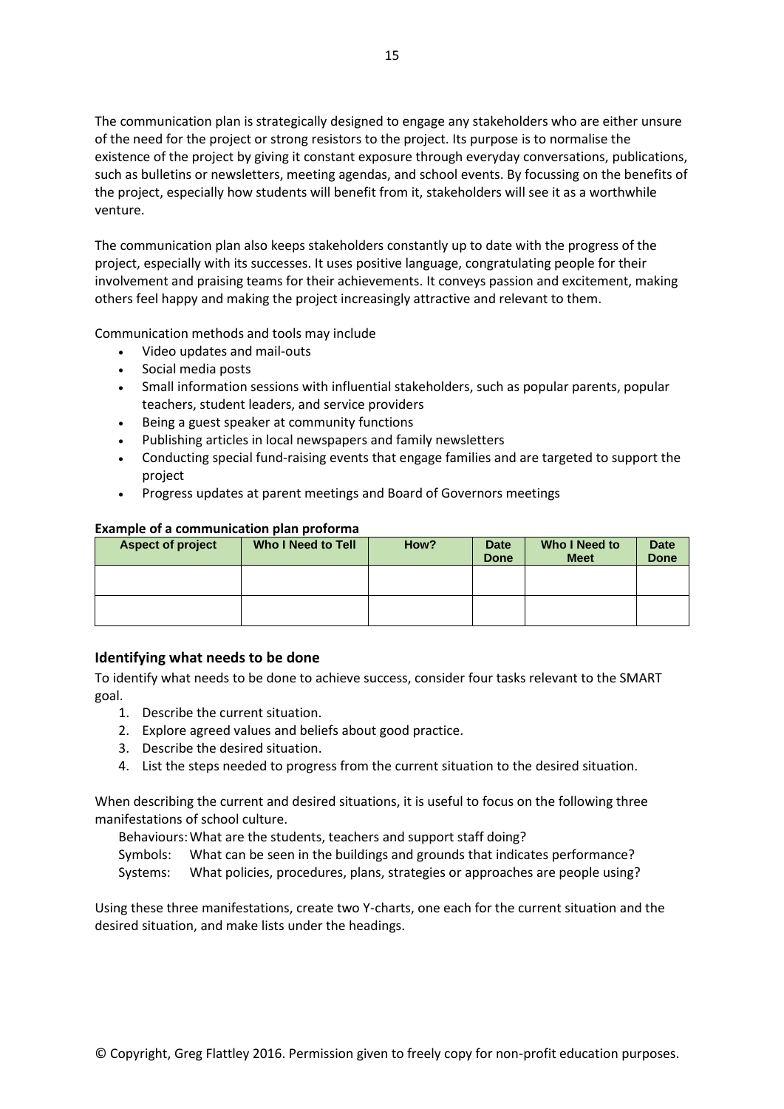The communication plan is strategically designed to engage any stakeholders who are either unsure of the need for the project or strong resistors to the project. Its purpose is to normalise the existence of the project by giving it constant exposure through everyday conversations, publications, such as bulletins or newsletters, meeting agendas, and school events. By focussing on the benefits of the project, especially how students will benefit from it, stakeholders will see it as a worthwhile venture.

The communication plan also keeps stakeholders constantly up to date with the progress of the project, especially with its successes. It uses positive language, congratulating people for their involvement and praising teams for their achievements. It conveys passion and excitement, making others feel happy and making the project increasingly attractive and relevant to them.

Communication methods and tools may include

- Video updates and mail-outs
- Social media posts
- Small information sessions with influential stakeholders, such as popular parents, popular teachers, student leaders, and service providers
- Being a guest speaker at community functions
- Publishing articles in local newspapers and family newsletters
- Conducting special fund-raising events that engage families and are targeted to support the project
- Progress updates at parent meetings and Board of Governors meetings

#### **Example of a communication plan proforma**

| <b>Aspect of project</b> | Who I Need to Tell | How? | <b>Date</b><br><b>Done</b> | Who I Need to<br><b>Meet</b> | <b>Date</b><br><b>Done</b> |
|--------------------------|--------------------|------|----------------------------|------------------------------|----------------------------|
|                          |                    |      |                            |                              |                            |
|                          |                    |      |                            |                              |                            |

#### <span id="page-14-0"></span>**Identifying what needs to be done**

To identify what needs to be done to achieve success, consider four tasks relevant to the SMART goal.

- 1. Describe the current situation.
- 2. Explore agreed values and beliefs about good practice.
- 3. Describe the desired situation.
- 4. List the steps needed to progress from the current situation to the desired situation.

When describing the current and desired situations, it is useful to focus on the following three manifestations of school culture.

Behaviours:What are the students, teachers and support staff doing?

Symbols: What can be seen in the buildings and grounds that indicates performance?

Systems: What policies, procedures, plans, strategies or approaches are people using?

Using these three manifestations, create two Y-charts, one each for the current situation and the desired situation, and make lists under the headings.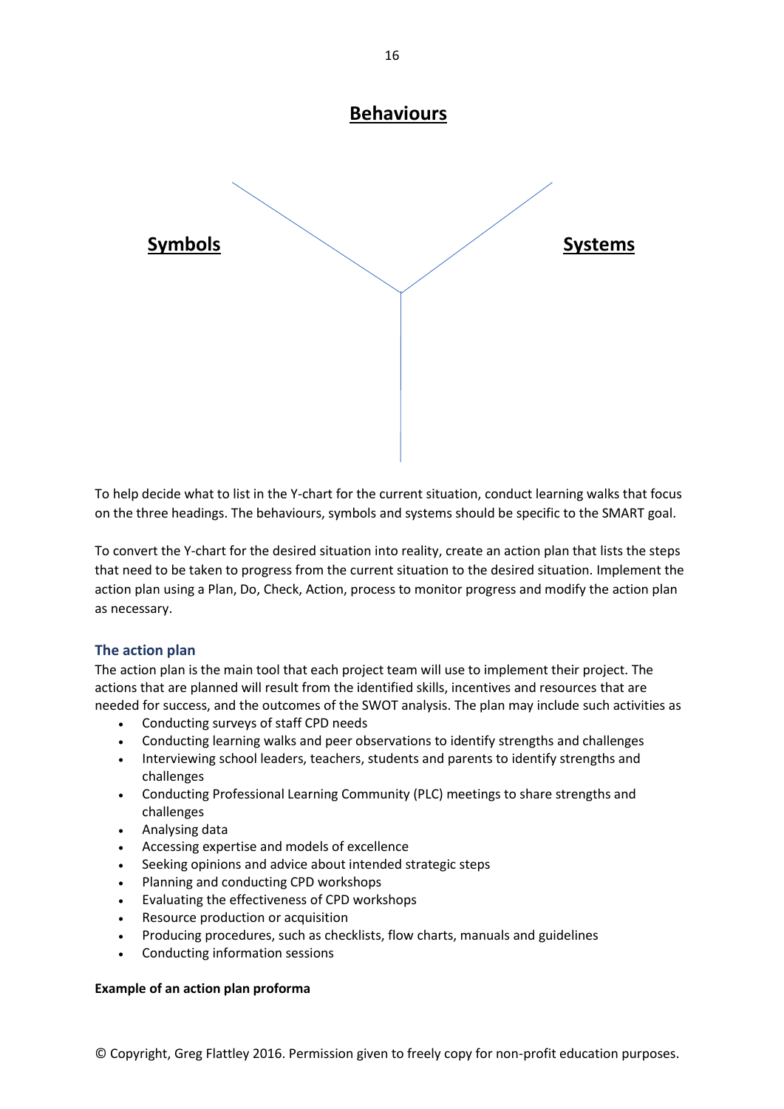

To help decide what to list in the Y-chart for the current situation, conduct learning walks that focus on the three headings. The behaviours, symbols and systems should be specific to the SMART goal.

To convert the Y-chart for the desired situation into reality, create an action plan that lists the steps that need to be taken to progress from the current situation to the desired situation. Implement the action plan using a Plan, Do, Check, Action, process to monitor progress and modify the action plan as necessary.

#### <span id="page-15-0"></span>**The action plan**

The action plan is the main tool that each project team will use to implement their project. The actions that are planned will result from the identified skills, incentives and resources that are needed for success, and the outcomes of the SWOT analysis. The plan may include such activities as

- Conducting surveys of staff CPD needs
- Conducting learning walks and peer observations to identify strengths and challenges
- Interviewing school leaders, teachers, students and parents to identify strengths and challenges
- Conducting Professional Learning Community (PLC) meetings to share strengths and challenges
- Analysing data
- Accessing expertise and models of excellence
- Seeking opinions and advice about intended strategic steps
- Planning and conducting CPD workshops
- Evaluating the effectiveness of CPD workshops
- Resource production or acquisition
- Producing procedures, such as checklists, flow charts, manuals and guidelines
- Conducting information sessions

#### **Example of an action plan proforma**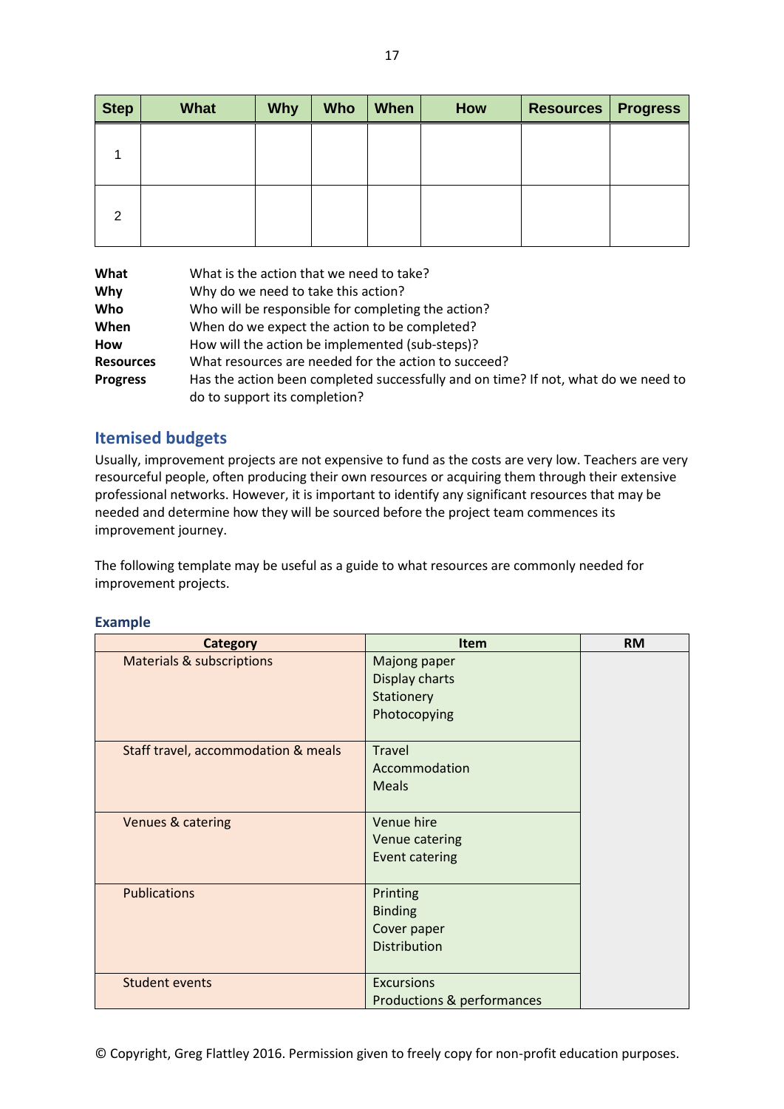<span id="page-16-2"></span>

| <b>Step</b> | <b>What</b> | <b>Why</b> | <b>Who</b> | When | How | Resources   Progress |  |
|-------------|-------------|------------|------------|------|-----|----------------------|--|
|             |             |            |            |      |     |                      |  |
| 2           |             |            |            |      |     |                      |  |

| What             | What is the action that we need to take?                                                                            |
|------------------|---------------------------------------------------------------------------------------------------------------------|
| Why              | Why do we need to take this action?                                                                                 |
| Who              | Who will be responsible for completing the action?                                                                  |
| When             | When do we expect the action to be completed?                                                                       |
| How              | How will the action be implemented (sub-steps)?                                                                     |
| <b>Resources</b> | What resources are needed for the action to succeed?                                                                |
| <b>Progress</b>  | Has the action been completed successfully and on time? If not, what do we need to<br>do to support its completion? |

### <span id="page-16-0"></span>**Itemised budgets**

Usually, improvement projects are not expensive to fund as the costs are very low. Teachers are very resourceful people, often producing their own resources or acquiring them through their extensive professional networks. However, it is important to identify any significant resources that may be needed and determine how they will be sourced before the project team commences its improvement journey.

The following template may be useful as a guide to what resources are commonly needed for improvement projects.

| <b>Category</b>                      | <b>Item</b>                                                      | <b>RM</b> |
|--------------------------------------|------------------------------------------------------------------|-----------|
| <b>Materials &amp; subscriptions</b> | Majong paper<br>Display charts<br>Stationery<br>Photocopying     |           |
| Staff travel, accommodation & meals  | <b>Travel</b><br>Accommodation<br><b>Meals</b>                   |           |
| Venues & catering                    | Venue hire<br>Venue catering<br><b>Event catering</b>            |           |
| <b>Publications</b>                  | Printing<br><b>Binding</b><br>Cover paper<br><b>Distribution</b> |           |
| <b>Student events</b>                | <b>Excursions</b><br>Productions & performances                  |           |

#### <span id="page-16-1"></span>**Example**